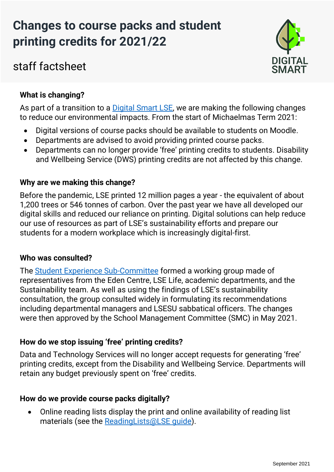# **Changes to course packs and student printing credits for 2021/22**

# staff factsheet



# **What is changing?**

As part of a transition to a [Digital Smart LSE,](https://info.lse.ac.uk/staff/divisions/estates-division/sustainable-lse/get-involved/digital-smart) we are making the following changes to reduce our environmental impacts. From the start of Michaelmas Term 2021:

- Digital versions of course packs should be available to students on Moodle.
- Departments are advised to avoid providing printed course packs.
- Departments can no longer provide 'free' printing credits to students. Disability and Wellbeing Service (DWS) printing credits are not affected by this change.

# **Why are we making this change?**

Before the pandemic, LSE printed 12 million pages a year - the equivalent of about 1,200 trees or 546 tonnes of carbon. Over the past year we have all developed our digital skills and reduced our reliance on printing. Digital solutions can help reduce our use of resources as part of LSE's sustainability efforts and prepare our students for a modern workplace which is increasingly digital-first.

# **Who was consulted?**

The [Student Experience Sub-Committee](https://info.lse.ac.uk/staff/divisions/academic-registrars-division/Teaching-Quality-Assurance-and-Review-Office/Committees/Student-Experience-Sub-Committee) formed a working group made of representatives from the Eden Centre, LSE Life, academic departments, and the Sustainability team. As well as using the findings of LSE's sustainability consultation, the group consulted widely in formulating its recommendations including departmental managers and LSESU sabbatical officers. The changes were then approved by the School Management Committee (SMC) in May 2021.

# **How do we stop issuing 'free' printing credits?**

Data and Technology Services will no longer accept requests for generating 'free' printing credits, except from the Disability and Wellbeing Service. Departments will retain any budget previously spent on 'free' credits.

# **How do we provide course packs digitally?**

• Online reading lists display the print and online availability of reading list materials (see the [ReadingLists@LSE guide\)](https://www.lse.ac.uk/library/assets/documents/Reading-Lists-LSE-system-manual.pdf).